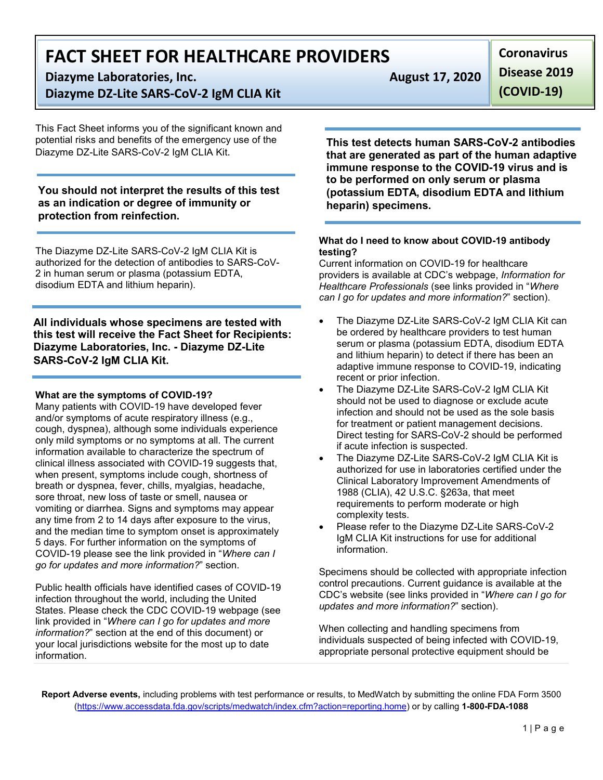# **FACT SHEET FOR HEALTHCARE PROVIDERS**

**Diazyme Laboratories, Inc. August 17, 2020** 

**Diazyme DZ-Lite SARS-CoV-2 IgM CLIA Kit**

This Fact Sheet informs you of the significant known and potential risks and benefits of the emergency use of the Diazyme DZ-Lite SARS-CoV-2 IgM CLIA Kit.

**You should not interpret the results of this test as an indication or degree of immunity or protection from reinfection.**

The Diazyme DZ-Lite SARS-CoV-2 IgM CLIA Kit is authorized for the detection of antibodies to SARS-CoV-2 in human serum or plasma (potassium EDTA, disodium EDTA and lithium heparin).

**All individuals whose specimens are tested with this test will receive the Fact Sheet for Recipients: Diazyme Laboratories, Inc. - Diazyme DZ-Lite SARS-CoV-2 IgM CLIA Kit.**

## **What are the symptoms of COVID-19?**

Many patients with COVID-19 have developed fever and/or symptoms of acute respiratory illness (e.g., cough, dyspnea), although some individuals experience only mild symptoms or no symptoms at all. The current information available to characterize the spectrum of clinical illness associated with COVID-19 suggests that, when present, symptoms include cough, shortness of breath or dyspnea, fever, chills, myalgias, headache, sore throat, new loss of taste or smell, nausea or vomiting or diarrhea. Signs and symptoms may appear any time from 2 to 14 days after exposure to the virus, and the median time to symptom onset is approximately 5 days. For further information on the symptoms of COVID-19 please see the link provided in "*Where can I go for updates and more information?*" section.

Public health officials have identified cases of COVID-19 infection throughout the world, including the United States. Please check the CDC COVID-19 webpage (see link provided in "*Where can I go for updates and more information?*" section at the end of this document) or your local jurisdictions website for the most up to date information.

**Coronavirus Disease 2019 (COVID-19)**

**This test detects human SARS-CoV-2 antibodies that are generated as part of the human adaptive immune response to the COVID-19 virus and is to be performed on only serum or plasma (potassium EDTA, disodium EDTA and lithium heparin) specimens.**

### **What do I need to know about COVID-19 antibody testing?**

Current information on COVID-19 for healthcare providers is available at CDC's webpage, *Information for Healthcare Professionals* (see links provided in "*Where can I go for updates and more information?*" section).

- The Diazyme DZ-Lite SARS-CoV-2 IgM CLIA Kit can be ordered by healthcare providers to test human serum or plasma (potassium EDTA, disodium EDTA and lithium heparin) to detect if there has been an adaptive immune response to COVID-19, indicating recent or prior infection.
- The Diazyme DZ-Lite SARS-CoV-2 IgM CLIA Kit should not be used to diagnose or exclude acute infection and should not be used as the sole basis for treatment or patient management decisions. Direct testing for SARS-CoV-2 should be performed if acute infection is suspected.
- The Diazyme DZ-Lite SARS-CoV-2 IgM CLIA Kit is authorized for use in laboratories certified under the Clinical Laboratory Improvement Amendments of 1988 (CLIA), 42 U.S.C. §263a, that meet requirements to perform moderate or high complexity tests.
- Please refer to the Diazyme DZ-Lite SARS-CoV-2 IgM CLIA Kit instructions for use for additional information.

Specimens should be collected with appropriate infection control precautions. Current guidance is available at the CDC's website (see links provided in "*Where can I go for updates and more information?*" section).

When collecting and handling specimens from individuals suspected of being infected with COVID-19, appropriate personal protective equipment should be

**Report Adverse events,** including problems with test performance or results, to MedWatch by submitting the online FDA Form 3500 [\(https://www.accessdata.fda.gov/scripts/medwatch/index.cfm?action=reporting.home\)](https://www.accessdata.fda.gov/scripts/medwatch/index.cfm?action=reporting.home) or by calling **1-800-FDA-1088**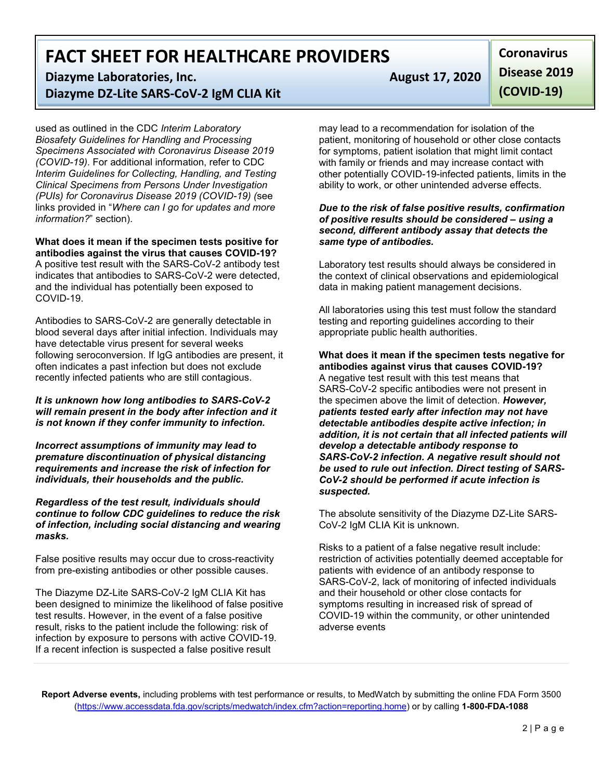# **FACT SHEET FOR HEALTHCARE PROVIDERS**

**Diazyme Laboratories, Inc. August 17, 2020 Diazyme DZ-Lite SARS-CoV-2 IgM CLIA Kit**

used as outlined in the CDC *Interim Laboratory Biosafety Guidelines for Handling and Processing Specimens Associated with Coronavirus Disease 2019 (COVID-19)*. For additional information, refer to CDC *Interim Guidelines for Collecting, Handling, and Testing Clinical Specimens from Persons Under Investigation (PUIs) for Coronavirus Disease 2019 (COVID-19) (*see links provided in "*Where can I go for updates and more information?*" section).

#### **What does it mean if the specimen tests positive for antibodies against the virus that causes COVID-19?**

A positive test result with the SARS-CoV-2 antibody test indicates that antibodies to SARS-CoV-2 were detected, and the individual has potentially been exposed to COVID-19.

Antibodies to SARS-CoV-2 are generally detectable in blood several days after initial infection. Individuals may have detectable virus present for several weeks following seroconversion. If IgG antibodies are present, it often indicates a past infection but does not exclude recently infected patients who are still contagious.

*It is unknown how long antibodies to SARS-CoV-2 will remain present in the body after infection and it is not known if they confer immunity to infection.*

*Incorrect assumptions of immunity may lead to premature discontinuation of physical distancing requirements and increase the risk of infection for individuals, their households and the public.* 

*Regardless of the test result, individuals should continue to follow CDC guidelines to reduce the risk of infection, including social distancing and wearing masks.*

False positive results may occur due to cross-reactivity from pre-existing antibodies or other possible causes.

The Diazyme DZ-Lite SARS-CoV-2 IgM CLIA Kit has been designed to minimize the likelihood of false positive test results. However, in the event of a false positive result, risks to the patient include the following: risk of infection by exposure to persons with active COVID-19. If a recent infection is suspected a false positive result

**Coronavirus Disease 2019 (COVID-19)**

may lead to a recommendation for isolation of the patient, monitoring of household or other close contacts for symptoms, patient isolation that might limit contact with family or friends and may increase contact with other potentially COVID-19-infected patients, limits in the ability to work, or other unintended adverse effects.

### *Due to the risk of false positive results, confirmation of positive results should be considered – using a second, different antibody assay that detects the same type of antibodies.*

Laboratory test results should always be considered in the context of clinical observations and epidemiological data in making patient management decisions.

All laboratories using this test must follow the standard testing and reporting guidelines according to their appropriate public health authorities.

**What does it mean if the specimen tests negative for antibodies against virus that causes COVID-19?** A negative test result with this test means that SARS-CoV-2 specific antibodies were not present in the specimen above the limit of detection. *However, patients tested early after infection may not have detectable antibodies despite active infection; in addition, it is not certain that all infected patients will develop a detectable antibody response to SARS-CoV-2 infection. A negative result should not be used to rule out infection. Direct testing of SARS-CoV-2 should be performed if acute infection is suspected.*

The absolute sensitivity of the Diazyme DZ-Lite SARS-CoV-2 IgM CLIA Kit is unknown.

Risks to a patient of a false negative result include: restriction of activities potentially deemed acceptable for patients with evidence of an antibody response to SARS-CoV-2, lack of monitoring of infected individuals and their household or other close contacts for symptoms resulting in increased risk of spread of COVID-19 within the community, or other unintended adverse events

**Report Adverse events,** including problems with test performance or results, to MedWatch by submitting the online FDA Form 3500 [\(https://www.accessdata.fda.gov/scripts/medwatch/index.cfm?action=reporting.home\)](https://www.accessdata.fda.gov/scripts/medwatch/index.cfm?action=reporting.home) or by calling **1-800-FDA-1088**